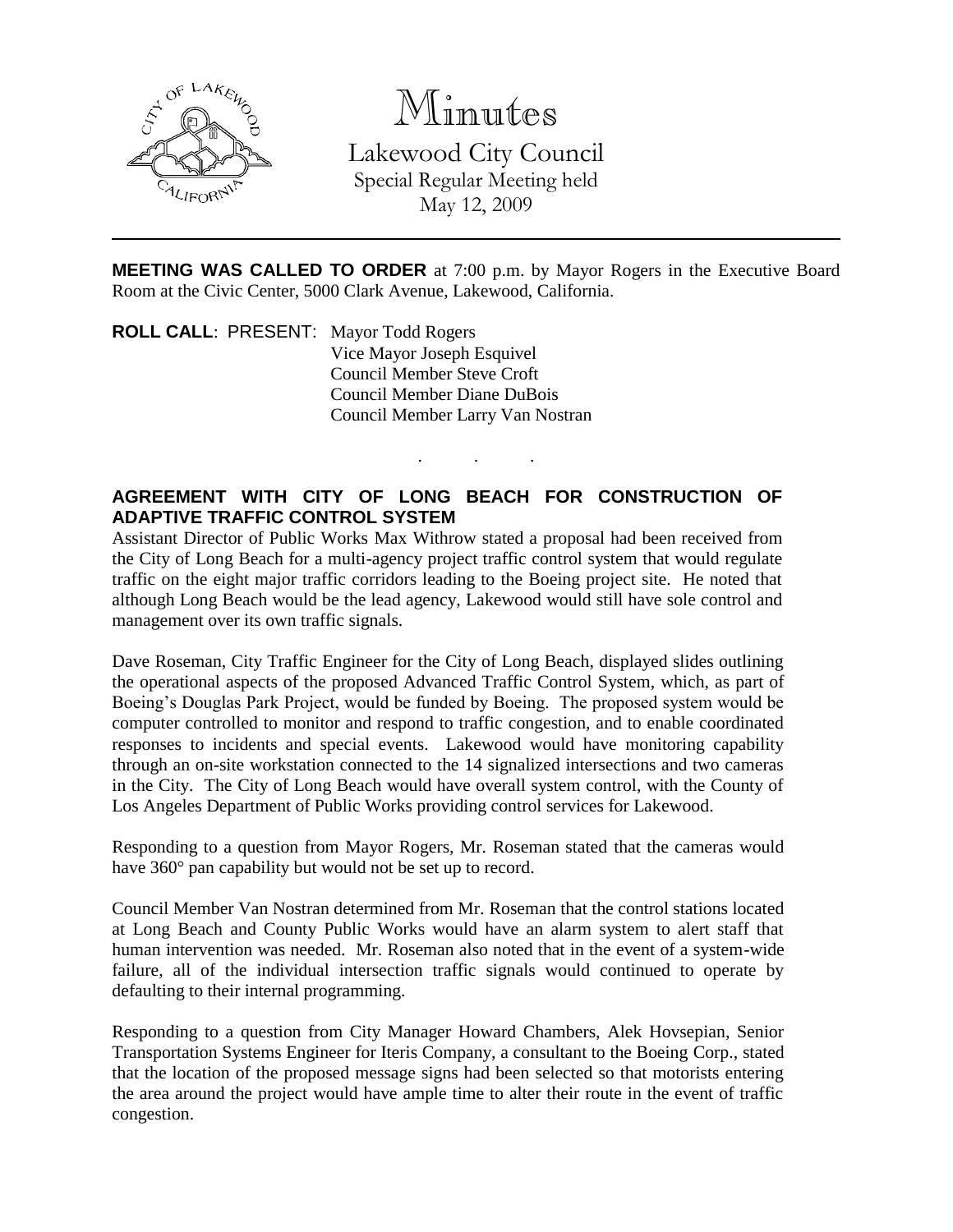

## Minutes

Lakewood City Council Special Regular Meeting held May 12, 2009

**MEETING WAS CALLED TO ORDER** at 7:00 p.m. by Mayor Rogers in the Executive Board Room at the Civic Center, 5000 Clark Avenue, Lakewood, California.

. . .

**ROLL CALL**: PRESENT: Mayor Todd Rogers Vice Mayor Joseph Esquivel Council Member Steve Croft Council Member Diane DuBois Council Member Larry Van Nostran

## **AGREEMENT WITH CITY OF LONG BEACH FOR CONSTRUCTION OF ADAPTIVE TRAFFIC CONTROL SYSTEM**

Assistant Director of Public Works Max Withrow stated a proposal had been received from the City of Long Beach for a multi-agency project traffic control system that would regulate traffic on the eight major traffic corridors leading to the Boeing project site. He noted that although Long Beach would be the lead agency, Lakewood would still have sole control and management over its own traffic signals.

Dave Roseman, City Traffic Engineer for the City of Long Beach, displayed slides outlining the operational aspects of the proposed Advanced Traffic Control System, which, as part of Boeing's Douglas Park Project, would be funded by Boeing. The proposed system would be computer controlled to monitor and respond to traffic congestion, and to enable coordinated responses to incidents and special events. Lakewood would have monitoring capability through an on-site workstation connected to the 14 signalized intersections and two cameras in the City. The City of Long Beach would have overall system control, with the County of Los Angeles Department of Public Works providing control services for Lakewood.

Responding to a question from Mayor Rogers, Mr. Roseman stated that the cameras would have 360° pan capability but would not be set up to record.

Council Member Van Nostran determined from Mr. Roseman that the control stations located at Long Beach and County Public Works would have an alarm system to alert staff that human intervention was needed. Mr. Roseman also noted that in the event of a system-wide failure, all of the individual intersection traffic signals would continued to operate by defaulting to their internal programming.

Responding to a question from City Manager Howard Chambers, Alek Hovsepian, Senior Transportation Systems Engineer for Iteris Company, a consultant to the Boeing Corp., stated that the location of the proposed message signs had been selected so that motorists entering the area around the project would have ample time to alter their route in the event of traffic congestion.